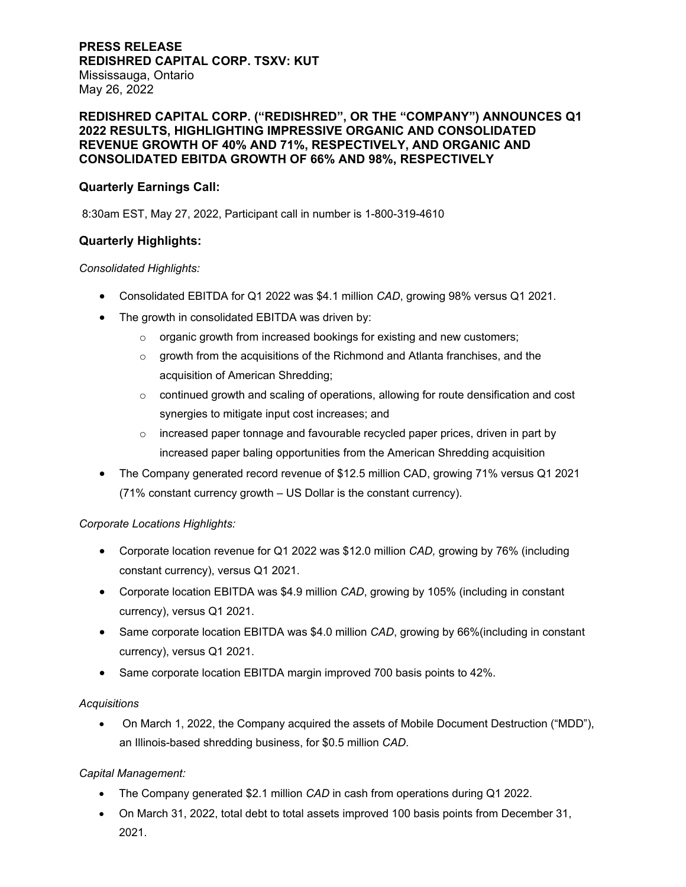# **PRESS RELEASE REDISHRED CAPITAL CORP. TSXV: KUT**  Mississauga, Ontario May 26, 2022

# **REDISHRED CAPITAL CORP. ("REDISHRED", OR THE "COMPANY") ANNOUNCES Q1 2022 RESULTS, HIGHLIGHTING IMPRESSIVE ORGANIC AND CONSOLIDATED REVENUE GROWTH OF 40% AND 71%, RESPECTIVELY, AND ORGANIC AND CONSOLIDATED EBITDA GROWTH OF 66% AND 98%, RESPECTIVELY**

# **Quarterly Earnings Call:**

8:30am EST, May 27, 2022, Participant call in number is 1-800-319-4610

# **Quarterly Highlights:**

### *Consolidated Highlights:*

- Consolidated EBITDA for Q1 2022 was \$4.1 million *CAD*, growing 98% versus Q1 2021.
- The growth in consolidated EBITDA was driven by:
	- $\circ$  organic growth from increased bookings for existing and new customers;
	- $\circ$  growth from the acquisitions of the Richmond and Atlanta franchises, and the acquisition of American Shredding;
	- $\circ$  continued growth and scaling of operations, allowing for route densification and cost synergies to mitigate input cost increases; and
	- $\circ$  increased paper tonnage and favourable recycled paper prices, driven in part by increased paper baling opportunities from the American Shredding acquisition
- The Company generated record revenue of \$12.5 million CAD, growing 71% versus Q1 2021 (71% constant currency growth – US Dollar is the constant currency).

### *Corporate Locations Highlights:*

- Corporate location revenue for Q1 2022 was \$12.0 million *CAD,* growing by 76% (including constant currency), versus Q1 2021.
- Corporate location EBITDA was \$4.9 million *CAD*, growing by 105% (including in constant currency), versus Q1 2021.
- Same corporate location EBITDA was \$4.0 million *CAD*, growing by 66%(including in constant currency), versus Q1 2021.
- Same corporate location EBITDA margin improved 700 basis points to 42%.

### *Acquisitions*

 On March 1, 2022, the Company acquired the assets of Mobile Document Destruction ("MDD"), an Illinois-based shredding business, for \$0.5 million *CAD*.

### *Capital Management:*

- The Company generated \$2.1 million *CAD* in cash from operations during Q1 2022.
- On March 31, 2022, total debt to total assets improved 100 basis points from December 31, 2021.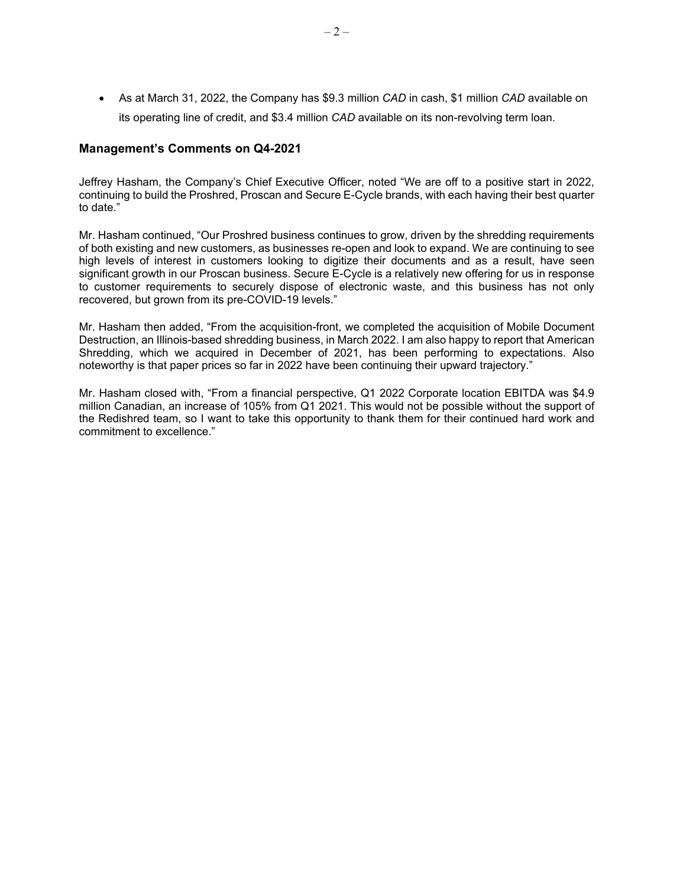As at March 31, 2022, the Company has \$9.3 million *CAD* in cash, \$1 million *CAD* available on its operating line of credit, and \$3.4 million *CAD* available on its non-revolving term loan.

### **Management's Comments on Q4-2021**

Jeffrey Hasham, the Company's Chief Executive Officer, noted "We are off to a positive start in 2022, continuing to build the Proshred, Proscan and Secure E-Cycle brands, with each having their best quarter to date."

Mr. Hasham continued, "Our Proshred business continues to grow, driven by the shredding requirements of both existing and new customers, as businesses re-open and look to expand. We are continuing to see high levels of interest in customers looking to digitize their documents and as a result, have seen significant growth in our Proscan business. Secure E-Cycle is a relatively new offering for us in response to customer requirements to securely dispose of electronic waste, and this business has not only recovered, but grown from its pre-COVID-19 levels."

Mr. Hasham then added, "From the acquisition-front, we completed the acquisition of Mobile Document Destruction, an Illinois-based shredding business, in March 2022. I am also happy to report that American Shredding, which we acquired in December of 2021, has been performing to expectations. Also noteworthy is that paper prices so far in 2022 have been continuing their upward trajectory."

Mr. Hasham closed with, "From a financial perspective, Q1 2022 Corporate location EBITDA was \$4.9 million Canadian, an increase of 105% from Q1 2021. This would not be possible without the support of the Redishred team, so I want to take this opportunity to thank them for their continued hard work and commitment to excellence."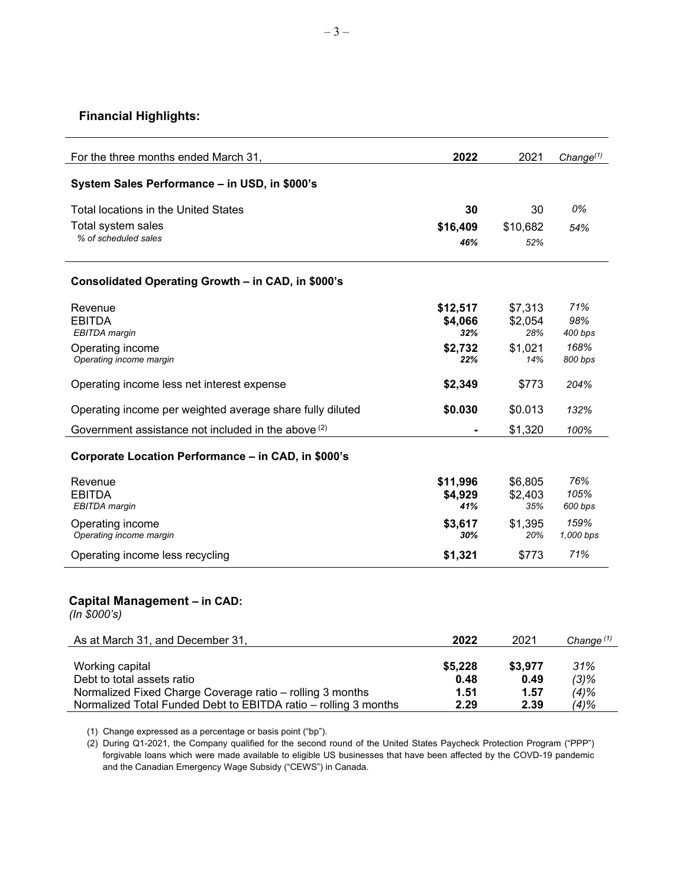# **Financial Highlights:**

| For the three months ended March 31,                      | 2022           | 2021           | Change $(1)$      |
|-----------------------------------------------------------|----------------|----------------|-------------------|
| System Sales Performance - in USD, in \$000's             |                |                |                   |
| Total locations in the United States                      | 30             | 30             | 0%                |
| Total system sales                                        | \$16,409       | \$10,682       | 54%               |
| % of scheduled sales                                      | 46%            | 52%            |                   |
| Consolidated Operating Growth - in CAD, in \$000's        |                |                |                   |
| Revenue                                                   | \$12,517       | \$7,313        | 71%               |
| <b>EBITDA</b>                                             | \$4,066        | \$2,054        | 98%               |
| <b>EBITDA</b> margin                                      | 32%            | 28%            | 400 bps<br>168%   |
| Operating income<br>Operating income margin               | \$2,732<br>22% | \$1,021<br>14% | 800 bps           |
| Operating income less net interest expense                | \$2,349        | \$773          | 204%              |
| Operating income per weighted average share fully diluted | \$0.030        | \$0.013        | 132%              |
| Government assistance not included in the above (2)       |                | \$1,320        | 100%              |
| Corporate Location Performance - in CAD, in \$000's       |                |                |                   |
| Revenue                                                   | \$11,996       | \$6,805        | 76%               |
| <b>EBITDA</b>                                             | \$4,929        | \$2,403        | 105%              |
| EBITDA margin                                             | 41%            | 35%            | 600 bps           |
| Operating income<br>Operating income margin               | \$3,617<br>30% | \$1,395<br>20% | 159%<br>1,000 bps |
| Operating income less recycling                           | \$1,321        | \$773          | 71%               |
| Capital Management - in CAD:                              |                |                |                   |

*(In \$000's)* 

| As at March 31, and December 31,                                | 2022    | 2021    | Change $(1)$ |
|-----------------------------------------------------------------|---------|---------|--------------|
|                                                                 |         |         |              |
| Working capital                                                 | \$5,228 | \$3,977 | 31%          |
| Debt to total assets ratio                                      | 0.48    | 0.49    | $(3)$ %      |
| Normalized Fixed Charge Coverage ratio - rolling 3 months       | 1.51    | 1.57    | $(4)\%$      |
| Normalized Total Funded Debt to EBITDA ratio - rolling 3 months | 2.29    | 2.39    | (4)%         |

(1) Change expressed as a percentage or basis point ("bp").

(2) During Q1-2021, the Company qualified for the second round of the United States Paycheck Protection Program ("PPP") forgivable loans which were made available to eligible US businesses that have been affected by the COVD-19 pandemic and the Canadian Emergency Wage Subsidy ("CEWS") in Canada.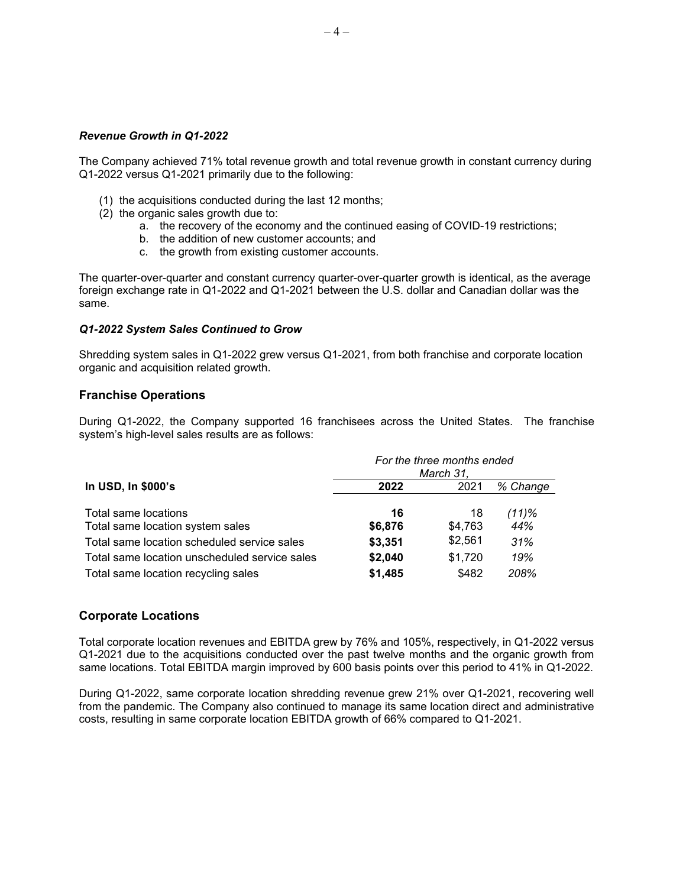### *Revenue Growth in Q1-2022*

The Company achieved 71% total revenue growth and total revenue growth in constant currency during Q1-2022 versus Q1-2021 primarily due to the following:

- (1) the acquisitions conducted during the last 12 months;
- (2) the organic sales growth due to:
	- a. the recovery of the economy and the continued easing of COVID-19 restrictions;
	- b. the addition of new customer accounts; and
	- c. the growth from existing customer accounts.

The quarter-over-quarter and constant currency quarter-over-quarter growth is identical, as the average foreign exchange rate in Q1-2022 and Q1-2021 between the U.S. dollar and Canadian dollar was the same.

#### *Q1-2022 System Sales Continued to Grow*

Shredding system sales in Q1-2022 grew versus Q1-2021, from both franchise and corporate location organic and acquisition related growth.

### **Franchise Operations**

During Q1-2022, the Company supported 16 franchisees across the United States. The franchise system's high-level sales results are as follows:

|                                                          | For the three months ended<br>March 31, |               |              |  |
|----------------------------------------------------------|-----------------------------------------|---------------|--------------|--|
| In USD, In \$000's                                       | 2022                                    | 2021          | % Change     |  |
| Total same locations<br>Total same location system sales | 16<br>\$6,876                           | 18<br>\$4,763 | (11)%<br>44% |  |
| Total same location scheduled service sales              | \$3,351                                 | \$2,561       | 31%          |  |
| Total same location unscheduled service sales            | \$2,040                                 | \$1,720       | 19%          |  |
| Total same location recycling sales                      | \$1,485                                 | \$482         | 208%         |  |

### **Corporate Locations**

Total corporate location revenues and EBITDA grew by 76% and 105%, respectively, in Q1-2022 versus Q1-2021 due to the acquisitions conducted over the past twelve months and the organic growth from same locations. Total EBITDA margin improved by 600 basis points over this period to 41% in Q1-2022.

During Q1-2022, same corporate location shredding revenue grew 21% over Q1-2021, recovering well from the pandemic. The Company also continued to manage its same location direct and administrative costs, resulting in same corporate location EBITDA growth of 66% compared to Q1-2021.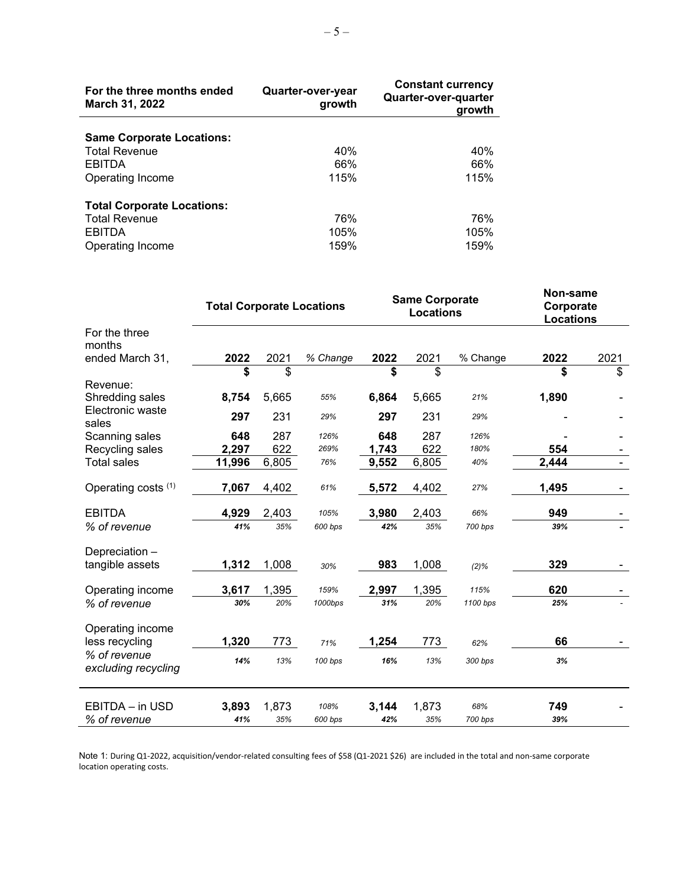| For the three months ended<br>March 31, 2022 | Quarter-over-year<br>growth | <b>Constant currency</b><br>Quarter-over-quarter<br>arowth |
|----------------------------------------------|-----------------------------|------------------------------------------------------------|
| <b>Same Corporate Locations:</b>             |                             |                                                            |
| <b>Total Revenue</b>                         | 40%                         | 40%                                                        |
| <b>EBITDA</b>                                | 66%                         | 66%                                                        |
| Operating Income                             | 115%                        | 115%                                                       |
| <b>Total Corporate Locations:</b>            |                             |                                                            |
| <b>Total Revenue</b>                         | 76%                         | 76%                                                        |
| <b>EBITDA</b>                                | 105%                        | 105%                                                       |
| Operating Income                             | 159%                        | 159%                                                       |

|                                     |              | <b>Total Corporate Locations</b> |                 |              | <b>Same Corporate</b><br><b>Locations</b> |                | Non-same<br>Corporate<br><b>Locations</b> |      |
|-------------------------------------|--------------|----------------------------------|-----------------|--------------|-------------------------------------------|----------------|-------------------------------------------|------|
| For the three<br>months             |              |                                  |                 |              |                                           |                |                                           |      |
| ended March 31,                     | 2022         | 2021                             | % Change        | 2022         | 2021                                      | % Change       | 2022                                      | 2021 |
|                                     | \$           | \$                               |                 | \$           | \$                                        |                | \$                                        | \$   |
| Revenue:                            |              |                                  |                 |              |                                           |                |                                           |      |
| Shredding sales                     | 8,754        | 5,665                            | 55%             | 6,864        | 5,665                                     | 21%            | 1,890                                     |      |
| Electronic waste<br>sales           | 297          | 231                              | 29%             | 297          | 231                                       | 29%            |                                           |      |
| Scanning sales                      | 648          | 287                              | 126%            | 648          | 287                                       | 126%           |                                           |      |
| Recycling sales                     | 2,297        | 622                              | 269%            | 1,743        | 622                                       | 180%           | 554                                       |      |
| <b>Total sales</b>                  | 11,996       | 6,805                            | 76%             | 9,552        | 6,805                                     | 40%            | 2,444                                     |      |
| Operating costs (1)                 | 7,067        | 4,402                            | 61%             | 5,572        | 4,402                                     | 27%            | 1,495                                     |      |
| <b>EBITDA</b>                       | 4,929        | 2,403                            | 105%            | 3,980        | 2,403                                     | 66%            | 949                                       |      |
| % of revenue                        | 41%          | 35%                              | 600 bps         | 42%          | 35%                                       | 700 bps        | 39%                                       |      |
| Depreciation-<br>tangible assets    | 1,312        | 1,008                            | 30%             | 983          | 1,008                                     | (2)%           | 329                                       |      |
| Operating income                    | 3,617        | 1,395                            | 159%            | 2,997        | 1,395                                     | 115%           | 620                                       |      |
| % of revenue                        | 30%          | 20%                              | 1000bps         | 31%          | 20%                                       | 1100 bps       | 25%                                       |      |
|                                     |              |                                  |                 |              |                                           |                |                                           |      |
| Operating income                    |              |                                  |                 |              |                                           |                |                                           |      |
| less recycling                      | 1,320        | 773                              | 71%             | 1,254        | 773                                       | 62%            | 66                                        |      |
| % of revenue<br>excluding recycling | 14%          | 13%                              | 100 bps         | 16%          | 13%                                       | 300 bps        | 3%                                        |      |
|                                     |              |                                  |                 |              |                                           |                |                                           |      |
| EBITDA - in USD<br>% of revenue     | 3,893<br>41% | 1,873<br>35%                     | 108%<br>600 bps | 3,144<br>42% | 1,873<br>35%                              | 68%<br>700 bps | 749<br>39%                                |      |
|                                     |              |                                  |                 |              |                                           |                |                                           |      |

Note 1: During Q1-2022, acquisition/vendor-related consulting fees of \$58 (Q1-2021 \$26) are included in the total and non-same corporate location operating costs.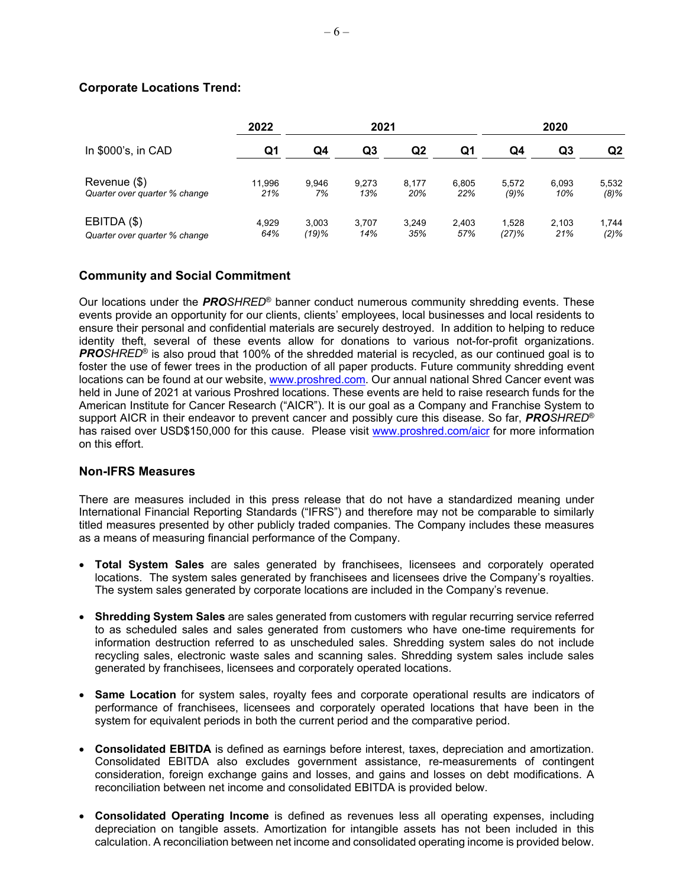## **Corporate Locations Trend:**

|                               | 2022   | 2021  |       |       |       | 2020    |       |         |  |
|-------------------------------|--------|-------|-------|-------|-------|---------|-------|---------|--|
| In \$000's, in CAD            | Q1     | Q4    | Q3    | Q2    | Q1    | Q4      | Q3    | Q2      |  |
| Revenue (\$)                  | 11.996 | 9.946 | 9,273 | 8.177 | 6.805 | 5,572   | 6.093 | 5,532   |  |
| Quarter over quarter % change | 21%    | 7%    | 13%   | 20%   | 22%   | $(9)$ % | 10%   | $(8)\%$ |  |
| EBITDA (\$)                   | 4.929  | 3.003 | 3.707 | 3.249 | 2.403 | 1.528   | 2,103 | 1,744   |  |
| Quarter over quarter % change | 64%    | (19)% | 14%   | 35%   | 57%   | (27)%   | 21%   | $(2)\%$ |  |

# **Community and Social Commitment**

Our locations under the *PROSHRED*® banner conduct numerous community shredding events. These events provide an opportunity for our clients, clients' employees, local businesses and local residents to ensure their personal and confidential materials are securely destroyed. In addition to helping to reduce identity theft, several of these events allow for donations to various not-for-profit organizations. *PROSHRED*® is also proud that 100% of the shredded material is recycled, as our continued goal is to foster the use of fewer trees in the production of all paper products. Future community shredding event locations can be found at our website, www.proshred.com. Our annual national Shred Cancer event was held in June of 2021 at various Proshred locations. These events are held to raise research funds for the American Institute for Cancer Research ("AICR"). It is our goal as a Company and Franchise System to support AICR in their endeavor to prevent cancer and possibly cure this disease. So far, *PROSHRED*® has raised over USD\$150,000 for this cause. Please visit www.proshred.com/aicr for more information on this effort.

### **Non-IFRS Measures**

There are measures included in this press release that do not have a standardized meaning under International Financial Reporting Standards ("IFRS") and therefore may not be comparable to similarly titled measures presented by other publicly traded companies. The Company includes these measures as a means of measuring financial performance of the Company.

- **Total System Sales** are sales generated by franchisees, licensees and corporately operated locations. The system sales generated by franchisees and licensees drive the Company's royalties. The system sales generated by corporate locations are included in the Company's revenue.
- **Shredding System Sales** are sales generated from customers with regular recurring service referred to as scheduled sales and sales generated from customers who have one-time requirements for information destruction referred to as unscheduled sales. Shredding system sales do not include recycling sales, electronic waste sales and scanning sales. Shredding system sales include sales generated by franchisees, licensees and corporately operated locations.
- **Same Location** for system sales, royalty fees and corporate operational results are indicators of performance of franchisees, licensees and corporately operated locations that have been in the system for equivalent periods in both the current period and the comparative period.
- **Consolidated EBITDA** is defined as earnings before interest, taxes, depreciation and amortization. Consolidated EBITDA also excludes government assistance, re-measurements of contingent consideration, foreign exchange gains and losses, and gains and losses on debt modifications. A reconciliation between net income and consolidated EBITDA is provided below.
- **Consolidated Operating Income** is defined as revenues less all operating expenses, including depreciation on tangible assets. Amortization for intangible assets has not been included in this calculation. A reconciliation between net income and consolidated operating income is provided below.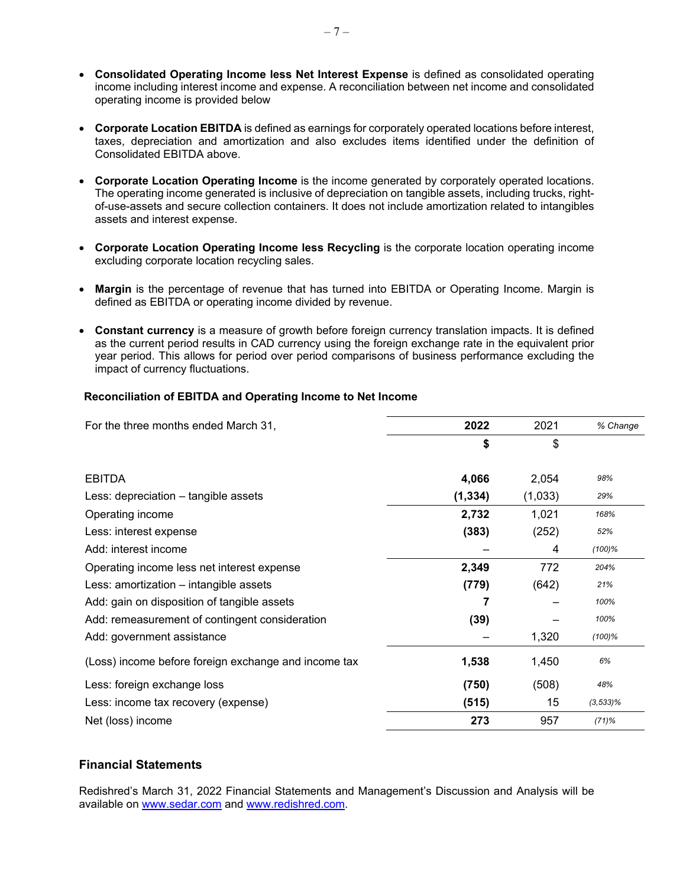- **Consolidated Operating Income less Net Interest Expense** is defined as consolidated operating income including interest income and expense. A reconciliation between net income and consolidated operating income is provided below
- **Corporate Location EBITDA** is defined as earnings for corporately operated locations before interest, taxes, depreciation and amortization and also excludes items identified under the definition of Consolidated EBITDA above.
- **Corporate Location Operating Income** is the income generated by corporately operated locations. The operating income generated is inclusive of depreciation on tangible assets, including trucks, rightof-use-assets and secure collection containers. It does not include amortization related to intangibles assets and interest expense.
- **Corporate Location Operating Income less Recycling** is the corporate location operating income excluding corporate location recycling sales.
- **Margin** is the percentage of revenue that has turned into EBITDA or Operating Income. Margin is defined as EBITDA or operating income divided by revenue.
- **Constant currency** is a measure of growth before foreign currency translation impacts. It is defined as the current period results in CAD currency using the foreign exchange rate in the equivalent prior year period. This allows for period over period comparisons of business performance excluding the impact of currency fluctuations.

#### **Reconciliation of EBITDA and Operating Income to Net Income**

| For the three months ended March 31,                 | 2022     | 2021    | % Change     |
|------------------------------------------------------|----------|---------|--------------|
|                                                      | \$       | \$      |              |
|                                                      |          |         |              |
| <b>EBITDA</b>                                        | 4,066    | 2,054   | 98%          |
| Less: depreciation - tangible assets                 | (1, 334) | (1,033) | 29%          |
| Operating income                                     | 2,732    | 1,021   | 168%         |
| Less: interest expense                               | (383)    | (252)   | 52%          |
| Add: interest income                                 |          | 4       | $(100)\%$    |
| Operating income less net interest expense           | 2,349    | 772     | 204%         |
| Less: amortization - intangible assets               | (779)    | (642)   | 21%          |
| Add: gain on disposition of tangible assets          |          |         | 100%         |
| Add: remeasurement of contingent consideration       | (39)     |         | 100%         |
| Add: government assistance                           |          | 1,320   | $(100)\%$    |
| (Loss) income before foreign exchange and income tax | 1,538    | 1,450   | 6%           |
| Less: foreign exchange loss                          | (750)    | (508)   | 48%          |
| Less: income tax recovery (expense)                  | (515)    | 15      | $(3, 533)\%$ |
| Net (loss) income                                    | 273      | 957     | (71)%        |

# **Financial Statements**

Redishred's March 31, 2022 Financial Statements and Management's Discussion and Analysis will be available on www.sedar.com and www.redishred.com.